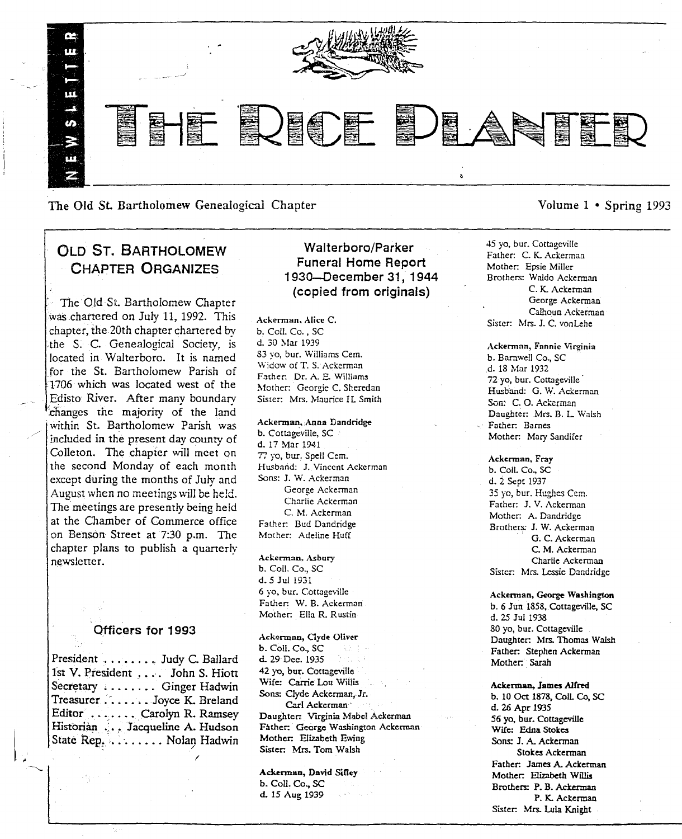

The Old St. Bartholomew Genealogical Chapter Volume 1 • Spring 1993

# OLD ST. BARTHOLOMEW CHAPTER ORGANIZES

The Old St. Bartholomew Chapter was chartered on July 11, 1992. This chapter, the 20th chapter chartered by the S. C. Genealogical Society, is located in Walterboro. It is named for the St. Bartholomew Parish of 1706 which was located west of the Edisto River. After many boundary changes the majority of the land within St. Bartholomew Parish was included in the present day county of Colleton. The chapter will meet on the second Monday of each month except during the months of July and August when no meetings will be held. The meetings are presently being held at the Cllamber of Commerce office on Benson Street at 7:30 p.m. The chapter plans to publish a quarterly' newsletter.

# Officers for 1993

| President  Judy C. Ballard      |
|---------------------------------|
| 1st V. President John S. Hiott  |
| Secretary  Ginger Hadwin        |
| Treasurer Joyce K. Breland      |
| Editor  Carolyn R. Ramsey       |
| Historian  Jacqueline A. Hudson |
| State Rep. Nolan Hadwin         |
|                                 |

# Walterboro/Parker Funeral Home Report 193O-December 31, 1944 (copied from originals)

Ackennan. Alice C. b. Co!l. Co. , SC d. 30 Mar 1939 83 yo, bur. Williams Cern. \Vidow of T. S.-Ackerman Father: Dr. A. E. Williams Mother: Georgie C. Sheredan Sister. Mrs. Maurice It Smith

Ackerman, Anna Dandridge b. Cottageville, SC d. 17 Mar 1941 77 yo, bur. Spell Cem. Husband: J. Vincent Ackerman Sons: J. W. Ackerman George Ackerman Charlie Ackcrman C. M. Ackerman Father: Bud Dandridge Mother: Adeline Huff

Ackerman, Asbury b. Coli. Co., SC d.5 Jul 1931 6 yo, bur. Cottageville Father: W. B. Ackerman Mother: Ella R. Rustin

Ackerman, Clyde Oliver b. ColI. Co., SC d. 29 Dec. 1935 42 yo, bur. Cottageville Wife: Carrie l.ou Willis Sons: Clyde Ackerman, Jr. Carl Ackerman . Daughter: Virginia Mabel Ackerman Father: George Washington Ackerman Mother: Elizabeth Ewing Sister. Mrs. Tom Walsh

Ackerman, David Sifley b. Coll: Co., SC d. 15 Aug 1939

45 yo, bur. Cottageville Father: C. K. Ackerman Mother. Epsie Miller Brothers: Waldo Ackerman C. K. Ackerman George Ackerman Calhoun Ackerman Sister: Mrs. J. C. vonLehe

Ackennnn, Fannie Virginia b. Barnwell Co., SC .d. 18 Mar 1932 72 yo, bur. Cottageville Husband: G. W. Ackerman Son: C. O. Ackerman Daughter: Mrs. B. L Walsh Father. Barnes Mother. Mary Sandifer

Ackerman. Fray b. Coil. Co., SC d. 2 Sept 1937 35 yo, bur. Hughes Cem. Father: J. V. Ackerman Mother. A. Dandridge Brothers: J. W. Ackerman G. C. Ackerman C. M. Ackerman Charlie Ackerman Sister. Mrs. Lcssie Dandridge

Ackennan, George Washington b. 6 Jun 1858, Cottageville, SC d. 25 Jul 1938 80 yo, bur. Cottageville Daughter. Mrs. Thomas Walsh Father: Stephen Ackerman Mother: Sarah

Ackerman, James Alfred b. 10 Oct 1878, CoiL Co, SC d. 26 Apr 1935 56 yo, bur. Cottageville Wife: Edna Stokes Sons: J. A. Ackerman Stokes Ackerman Father: James A. Ackerman Mother: Elizabeth Willis Brothers: P. B. Ackerman P. K. Aekennan Sister: Mrs. Lula Knight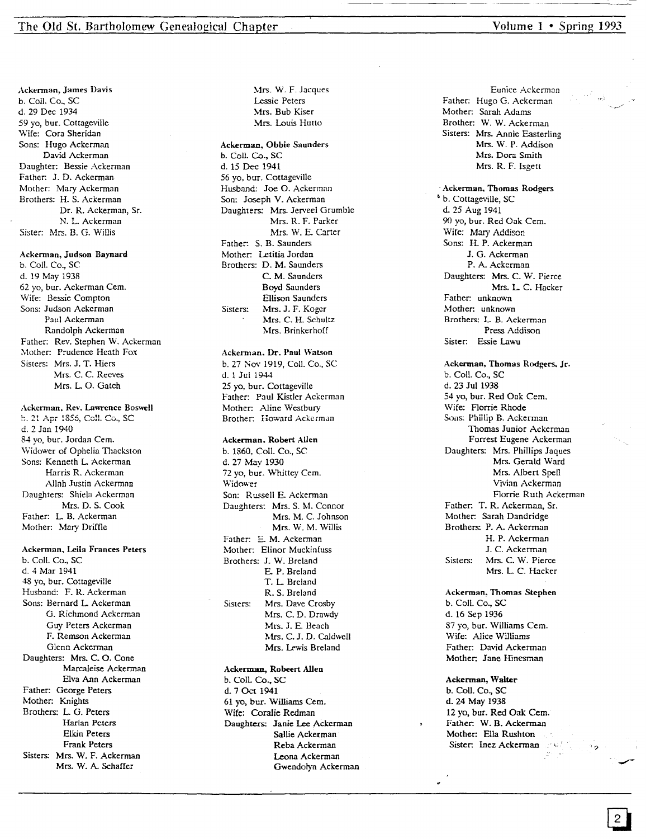Ackerman, James Davis b. Call. Co., SC d. 29 Dec 1934 59 yo, bur. Cottageville Wife: Cora Sheridan Sons: Hugo Ackcrman David Ackerman Daughter: Bessie Ackerman Father: J. D. Ackerman Mother: Mary Ackerman Brothers: H. S. Ackerman Dr. R. Ackerman, Sr. N. L Ackerman Sister: Mrs. B. G. Willis

### Ackerman, Judson Baynard

b. Call. Co., SC d. 19 May 1938 62 yo, bur. Ackerman Cem. Wife: Bessie Compton Sons: Judson Ackerman Paul Ackerman Randolph Ackerman Father: Rev. Stephen W. Ackerman Mother: Prudence Heath Fox Sisters: Mrs. J. T. Hiers Mrs. C. C. Reeves Mrs. L O. Gatch

### Ackerman, Rev. Lawrence Boswell

b. 21 Apr 1856, Coll. Co., SC d. 2 Jan 1940 84 yo, bur. Jordan Cem. \Vidower of Ophelia Thackston Sons: Kenneth L Ackerman Harris R. Ackerman Allah Justin Ackerman Daughters: Shiela Ackerman Mrs. D. S. Cook Father: L B. Ackerman Mother. Mary Driffle

### Ackerman, Leila Frances Peters

b. Call. Co., SC d. 4 Mar 1941 4S yo, bur. Cottageville Husband: F. R. Ackerman Sons: Bernard L Ackerman G. Richmond Ackerman Guy Peters Ackerman F. Remson Ackerman Glenn Ackerman Daughters: Mrs. C. O. Cone Marca1eise Ackerman Elva Ann Ackemian Father: George Peters Mother. Knights Brothers: L G. Peters Harlan Peters Elkin Peters Frank Peters Sisters: Mrs. W. F. Ackerman Mrs. W. A. Schaffer

~1rs. W. F. Jacques Lessie Peters Mrs. Bub Kiser Mrs. Louis Hutto

### Ackerman, Obbie Saunders b. Coil. Co., SC

d. 15 Dee 1941 56 yo, bur. Cottageville Husband: Joe O. Ackerman Son: Joseph V. Ackerman Daughters: Mrs. Jerveel Grumble Mrs. R. F. Parker Mrs. W. E. Carter Father: S. B. Saunders Mother. Letitia Jordan Brothers: D. M. Saunders C. M. Saunders Boyd Saunders Ellison Saunders Sisters: Mrs. J. F. Koger Mrs. C. H. Schultz Mrs. Brinkerhoff

### Ackerman. Dr. Paul Watson b. 27 Nov 1919, Coll. Co., SC d.1 Ju11944

25 yo, bur. Cottageville Father: Paul Kistler Ackerman Mother. Aline Westbury Brother: Howard Ackerman

# Ackerman. Robert Allen

b. 1860, Call. Co., SC d.27 May 1930 72 yo, bur. Whittey Cern. Widower Son: Russell E. Ackerman Daughters: Mrs. S. M. Connor Mrs. M. C. Johnson Mrs. W. M. Willis Father. E. M. Ackerman Mother: Elinor Muckinfuss Brothers: J. W. Breland E. P. Breland T. L. Breland R. S. Breland Sisters: Mrs. Dave Crosby Mrs. C. D. Drawdy Mrs. J. E. Beach Mrs. C. J. D. Caldwell Mrs. Lewis Breland

#### Ackerman, Robeert Allen

b. CoiL Co., SC d.7 Oct 1941 61 yo, bur. Williams Cem. Wife: Coralie Redman Daughters: Janie Lee Ackerman Sallie Ackerman Reba Ackerman Leona Ackerman Gwendolyn Ackerman

Eunice Ackerman Father: Hugo G. Ackerman Mother: Sarah Adams Brother: W. W. Ackerman Sisters: Mrs. Annie Easterling Mrs. W. P. Addison Mrs. Dora Smith Mrs. R. F. Isgett

. Ackerman, Thomas Rodgers ~ b. Cottageville, SC d. 25 Aug 1941 90 yo, bur. Red Oak Cem. Wife: Mary Addison Sons: H. P. Ackerman J. G. Ackerman P. A. Ackerman Daughters: Mrs. C. W. Pierce Mrs. L C. Hacker Father: unknown Mother: unknown Brothers: L B. Ackerman Press Addison Sister: Essie Lawu

Ackerman, Thomas Rodgers. Jr. b. ColI. Co., SC d. 23 Jul 1938 54 yo, bur. Red Oak Cem. Wife: Florrie Rhode Sons: Phillip B. Ackerman Thomas Junior Ackerman Forrest Eugene Ackerman Daughters: Mrs. Phillips Jaques Mrs. Gerald Ward Mrs. Albert Spell Vivian Ackerman Florrie Ruth Ackerman Father: T. R. Ackerman, Sr. Mother. Sarah Dandridge Brothers: P. A. Ackerman H. P. Ackerman J. C. Ackerman Sisters: Mrs. C. W. Pierce Mrs. L C. Hacker

Ackerman, Thomas Stephen b. Call. Co., SC d. 16 Sep 1936 87 yo, bur. Williams Cem. Wife: Alice Williams Father: David Ackerman Mother: Jane Hinesman

### Ackerman, Walter

b. ColI. Co., SC d.24 May 1938 12 yo, bur. Red Oak Cern. Father: W. B. Ackerman Mother: Ella Rushton Sister: Inez Ackerman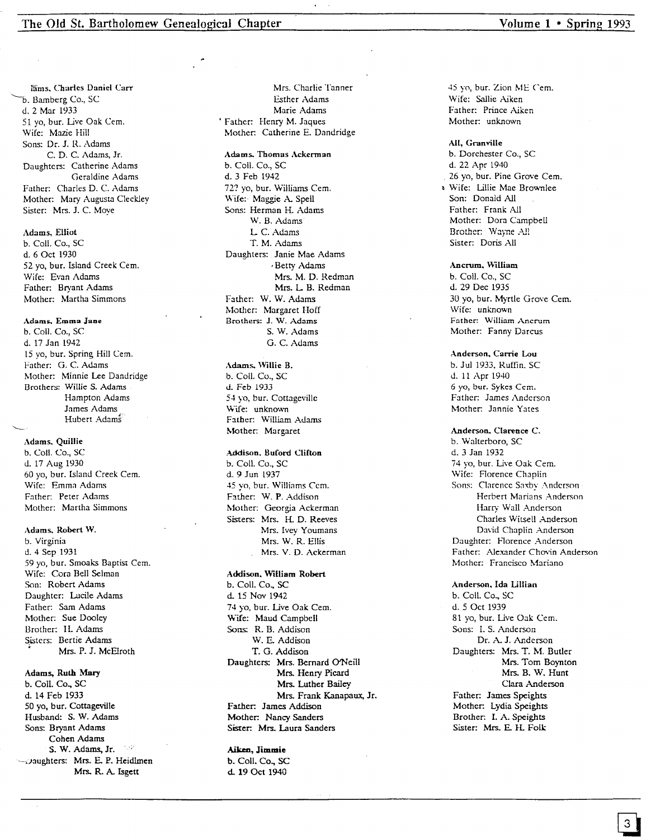l'ams. Charles Daniel Carr b. Bamberg Co., SC d.2 Mar 1933 51 yo, bur. Live Oak Cern. Wife: Mazie Hill Sons: Dr. J. H.. Adams C.D.C.Adams,Jr. Daughters: Catherine Adams Geraldine Adams Father: Charles D. C. Adams Mother: Mary Augusta Cleckley Sister: Mrs. J. C. Moye

### Adams, Elliot

b. Call. Co., SC d. 6 Oct 1930 52 yo, bur. Island Creek Cern. Wife: Evan Adams Father: Bryant Adams Mother: Martha Simmons

### Adams, Emma Jane

b. Coil. Co., SC d. 17 Jan 1942 15 yo, bur. Spring Hill Cern. Father: G. C. Adams Mother: Minnie Lee Dandridge Brothers: Willie S. Adams Hampton Adams James Adams Hubert Adan

### Adams. Quillie

b. ColI. Co., SC d. 17 Aug 1930 60 yo, bur. Island Creek Cern. Wife: Emma Adams Father: Peter Adams Mother: Martha Simmons

### Adams. Robert W.

b. Virginia d.4 Sep 1931 59 yo, bur. Smoaks Baptist Cern. Wife: Cora Bell Selman Son: Robert Adams Daughter: Lucile Adams Father: Sam Adams Mother: Sue Dooley Brother: II. Adams Sisters: Bertie Adams • Mrs. P. J. McElroth

### Adams, Ruth Mary

b. Call. Co., SC d. 14 Feb 1933 50 yo, bur. Cottageville Husband: S. W. Adams Sons: Bryant Adams Cohen Adams S. W. Adams, Jr. 2009 -Daughters: Mrs. E. P. Heidlmen Mrs. R. A. Isgett

Mrs. Charlie Tanner Esther Adams Marie Adams • Father: Henry M. Jaques Mother: Catherine E. Dandridge

#### Adams. Thomas Ackerman

b. Coil. Co., SC d.3 Feb 1942 72? yo, bur. Williams Cem. Wife:· Maggie A. Spell Sons: Herman H. Adams W. B. Adams L C. Adams T. M. Adams Daughters: Janie Mae Adams , Betty Adams Mrs. M. D. Redman Mrs. L B. Redman Father: W. W. Adams Mother: Margaret Hoff Brothers: J. W. Adams S. W. Adams G. C. Adams

# Adams. Willie B. b. Coli. Co., SC d. Feb 1933

54 yo, bur. Cottageville \\-tfe: unknown Father: William Adams Mother: Margaret

### Addison. Buford Clifton

b. Call. Co., SC d. 9Jun 1937 45 yo, bur. Williams Cem. Father: W. P. Addison Mother: Georgia Ackerman Sisters: Mrs. H. D. Reeves Mrs. Ivey Youmans Mrs. W. R. Ellis Mrs. V. D. Ackerman

### Addison. William Robert

b. ColI. Co., SC d. 15 Nov 1942 74 yo, bur. Live Oak Cem. \\-tfe: Maud Campbell Sons: R. B. Addison W. E. Addison T. G. Addison Daughters: Mrs. Bernard O'Neill Mrs. Henry Picard Mrs. Luther Bailey Mrs. Frank Kanapaux, Jr. Father: James Addison Mother: Nancy Sanders Sister: Mrs. Laura Sanders

### Aiken, **Jimmie**

b. Call. Co., SC d. 19 Oct 1940

45 yo, bur. Zion ME Cem. Wife: Sallie Aiken Father: Prince Aiken Mother: unknown

### All, Granville

b. Dorchester Co., SC d. 22 Apr 1940 26 yo, bur. Pine Grove Cem.  $\cdot$  Wife: Lillie Mae Brownlee Son: Donald All Father: Frank All Mother: Dora Campbell Brother: Wayne All Sister: Doris All

### Ancrum. William

b. Call. Co., SC d. 29 Dec 1935 30 yo, bur. Myrtle Grove Cem. Wife: unknown Father: William Ancrum Mother: Fanny Darcus

## Anderson. Carrie Lou

b. Jul 1933. Ruffin. SC d. 11 Apr 1940 6 yo, bur. Sykes Cern. Father: James Anderson Mother: Jannie Yates

### Anderson. Clarence C.

b. Walterboro, SC d. 3 Jan 1932 74 yo, bur. Live Oak Cern. Wife: Florence Chaplin Sons: Clarence Saxby Anderson Herbert Marians Anderson Harry Wall Anderson Charles Witsell Anderson David Chaplin Anderson Daughter: Florence Anderson Father: Alexander Chovin Anderson Mother: Francisco Mariano

Anderson. Ida Lillian b. ColI. Co., SC d. 5 Oct 1939 81 yo, bur. Live Oak Cern. Sons: 1. S. Anderson Dr. A. J. Anderson Daughters: Mrs. T. M. Butler Mrs. Tom Boynton Mrs. B. W. Hunt Clara Anderson Father: James Speights Mother: Lydia Speights Brother: 1. A. Speights Sister: Mrs. E. H. Folk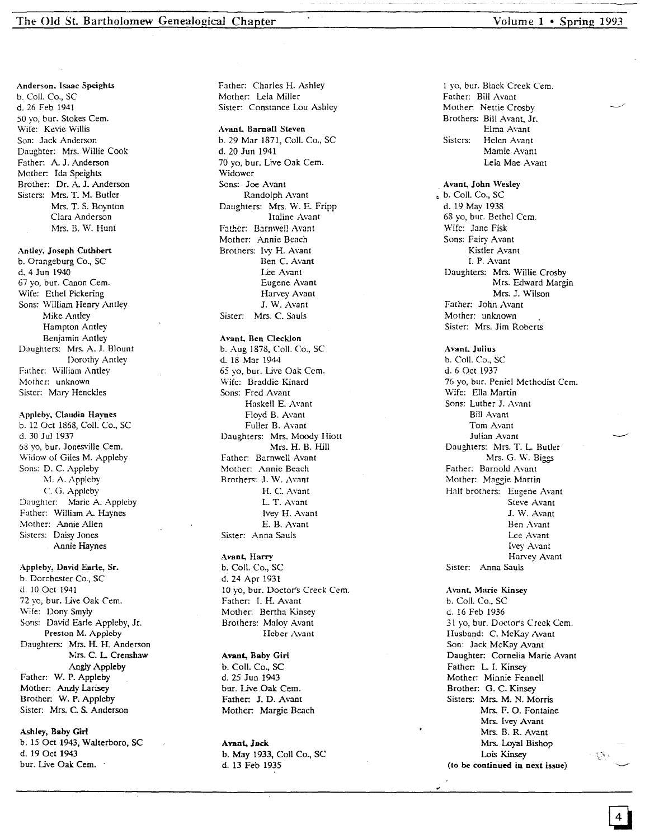Anderson. Isaac Speights b. Coil. Co., SC d. 26 Feb 1941 50 vo, bur. Stokes Cem. Wife: Kevie Willis Son: Jack Anderson Daughter: Mrs. Willie Cook Father: A. J. Anderson Mother: Ida Speights Brother: Dr. A. J. Anderson Sisters: Mrs. T. M. Butler Mrs. T. S. Boynton Clara Anderson Mrs. B. W. Hunt

### Antley, Joseph Cuthbert

b. Orangeburg Co., SC d. 4 Jun 1940 67 yo, bur. Canon Cern. Wife: Ethel Pickering Sons: William Henry Antley Mike Antley Hampton Antley Benjamin Antley Daughters: Mrs. A. J. Blount Dorothy Antley Father: William Antley Mothcr: unknown Sistcr: Mary Henckles

# Appleby, Claudia Haynes

b. 12 Oct 1868, Coil. Co., SC d. 30 Jul 1937 68 yo, bur. Jonesville Cern. Widow of Giles M. Appleby Sons: D. C. Appleby M. A. Appleby C. G. Appleby Daughter: Marie A. Appleby Father: William A. Haynes Mother: Annie Allen Sisters: Daisy Jones Annie Haynes

Appleby, David Earle, Sr. b. Dorchester Co., SC J. 10 Oct 1941 72 yo, bur. Live Oak Cern. Wife: Dony Smyly Sons: David Earle Appleby, Jr. Preston M. Appleby Daughters: Mrs. H. H. Anderson Mrs. C. L. Crenshaw Angly Appleby Father: W. P. Appleby Mother: Anzly Larisey Brother: W. P. Appleby Sister: Mrs. C. S. Anderson

Ashley, Baby Girl b. 15 Oct 1943, Walterboro, SC d. 19 Oct 1943 bur. Live Oak Cem.

Father: Charles H. Ashley Mother: Lela Miller Sister: Constance Lou Ashley

Avant, Barnall Steven b. 29 Mar 1871, CoIl. Co., SC d. 20 lun 1941 70 yo, bur. Live Oak Cern. Widower Sons: Joe Avant Randolph Avant Daughters: Mrs. W. E. Fripp Italine Avant Father: Barnwell Avant Mother: Annie Beach Brothers: Ivy H. Avant Ben C. Avant Lee Avant Eugene Avant Harvey Avant J. W. Avant Sister: Mrs. C. Sauls

### Avant, Ben Clecklon

b. Aug 1878, Coil. Co., SC d. 18 Mar 1944 65 yo, bur. Live Oak Cern. \Vife: Braddic Kinard Sons: Fred Avant Haskell E. Avant Floyd B. Avant Fuller B. Avant Daughters: Mrs. Moody Hiott Mrs. H. B. Hill Father: Barnwell Avant Mother: Annie Beach Brothers: J. W. Avant H. C. Avant L. T. Avant Ivey H. Avant E. B. Avant Sister: Anna Sauls

### Avant. Harry

b. Coil. Co., SC d. 24 Apr 1931 10 yo, bur. Doctor's Creek Cern. Father: 1. H. Avant Mother: Bertha Kinsey Brothers: Maloy Avant IIeber Avant

Avant, Baby Girl b. Coli. Co., SC d. 25 Jun 1943 bur. Live Oak Cem. Father: J. D. Avant Mother: Margie Beach

Avant, Jack b. May 1933, Coil Co., SC d. 13 Feb 1935

I yo, bur. Black Creek Cern. Father: Bill Avant Mother: Nettie Crosby Brothers: Bill Avant, Jr. Elma Avant Sisters: Helcn Avant Mamie-Avant Lela Mae Avant

. Avant. Jobn Wesley ~ b. ColI. Co., SC d. 19 May 1938 68 yo, bur. Bethel Cern. **\Vife: J3ne Fisk** Sons: Fairy Avant Kistler Avant 1. P. Avant Daughters: Mrs. Willie Crosby Mrs. Edward Margin Mrs. J. Wilson Father: John Avant Mother: unknown Sister: Mrs. Jim Roberts

Avant. Julius b. Call. Co., SC d.6 Oct 1937 76 yo, bur. Peniel Methodist Cem. Wife: Ella Martin Sons: Luther J. Avant Bill Avant Tom Avant Julian Avant Daughters: Mrs. T. L. Butler Mrs. G. W. Biggs Father: Barnold Avant Mother: Maggie Martin Half brothers: Eugene Avant Steve Avant J. \V. Avant Ben Avant Lee Avant Ivey Avant Harvey Avant Sister: Anna Sauls

Avant. Marie Kinsey b. Coil. Co., SC d. 16 Feb 1936 31 yo, bur. Doctor's Creek Cern. Husband: C. McKay Avant Son: Jack McKay Avant Daughter: Cornelia Marie Avant Father: L. I. Kinsey Mother: Minnie Fennell Brother: G. C. Kinsey Sisters: Mrs. M. N. Morris Mrs. F. O. Fontaine Mrs. Ivey Avant Mrs. B. R. Avant Mrs. Loyal Bishop Lois Kinsey (to be continued in next issue)